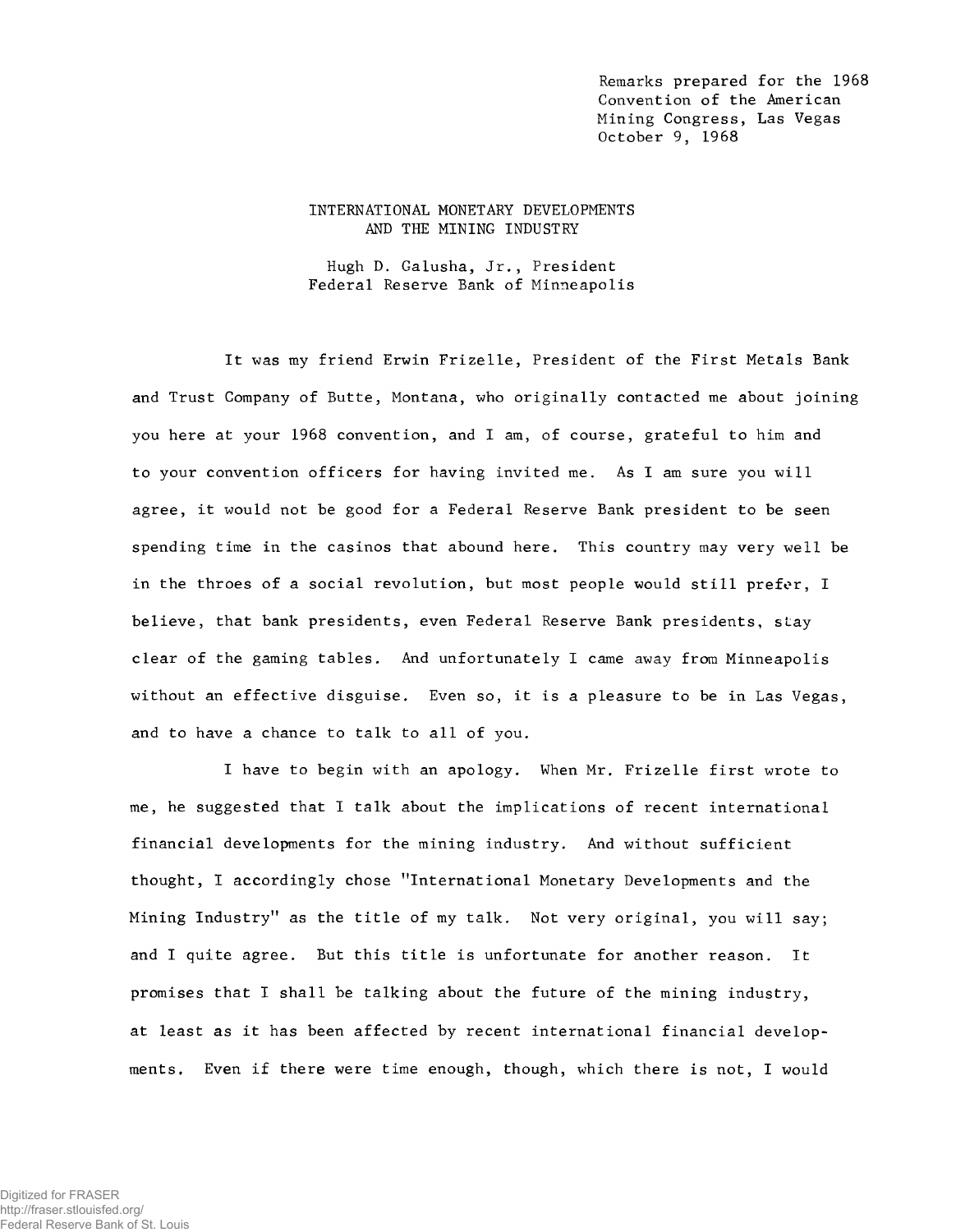Remarks prepared for the 1968 Convention of the American Mining Congress, Las Vegas October 9, 1968

# INTERNATIONAL MONETARY DEVELOPMENTS AND THE MINING INDUSTRY

Hugh D. Galusha, Jr., President Federal Reserve Bank of Minneapolis

It was my friend Erwin Frizelle, President of the First Metals Bank and Trust Company of Butte, Montana, who originally contacted me about joining you here at your 1968 convention, and I am, of course, grateful to him and to your convention officers for having invited me. As I am sure you will agree, it would not be good for a Federal Reserve Bank president to be seen spending time in the casinos that abound here. This country may very well be in the throes of a social revolution, but most people would still prefer, I believe, that bank presidents, even Federal Reserve Bank presidents, stay c lear of the gaming tables. And unfortunately I came away from Minneapolis without an effective disguise. Even so, it is a pleasure to be in Las Vegas, and to have a chance to talk to all of you.

I have to begin with an apology. When Mr. Frizelle first wrote to me, he suggested that I talk about the implications of recent international financial developments for the mining industry. And without sufficient thought, I accordingly chose "International Monetary Developments and the Mining Industry" as the title of my talk. Not very original, you will say; and I quite agree. But this title is unfortunate for another reason. It promises that I shall be talking about the future of the mining industry, at least as it has been affected by recent international financial developments. Even if there were time enough, though, which there is not, I would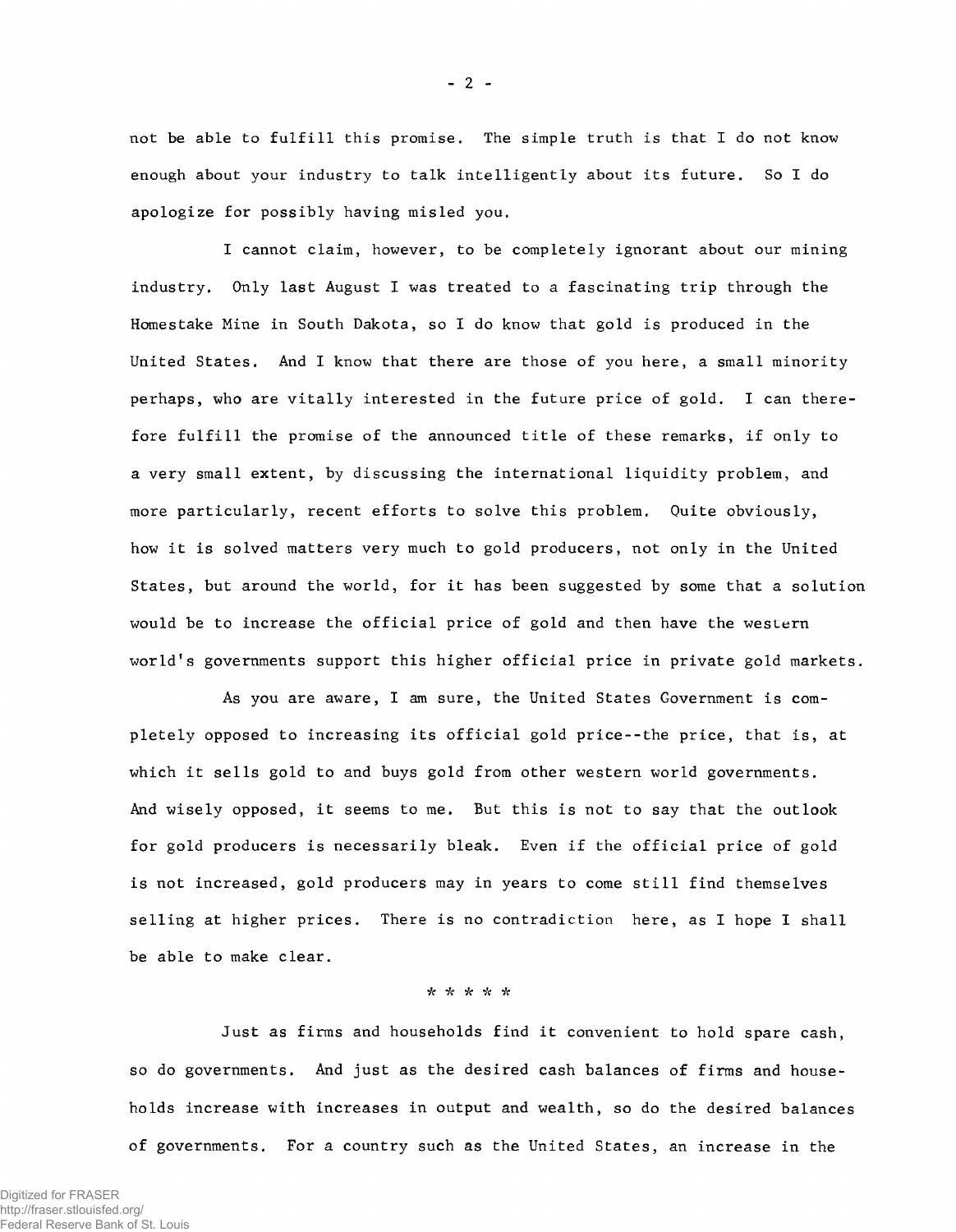not be able to fulfill this promise. The simple truth is that I do not know enough about your industry to talk intelligently about its future. So I do apologize for possibly having misled you.

I cannot claim, however, to be completely ignorant about our mining industry. Only last August I was treated to a fascinating trip through the Homestake Mine in South Dakota, so I do know that gold is produced in the United States. And I know that there are those of you here, a small minority perhaps, who are vitally interested in the future price of gold. I can therefore fulfill the promise of the announced title of these remarks, if only to a very small extent, by discussing the international liquidity problem, and more particularly, recent efforts to solve this problem. Quite obviously, how it is solved matters very much to gold producers, not only in the United States, but around the world, for it has been suggested by some that a solution would be to increase the official price of gold and then have the western world's governments support this higher official price in private gold markets.

As you are aware, I am sure, the United States Government is completely opposed to increasing its official gold price--the price, that is, at which it sells gold to and buys gold from other western world governments. And wisely opposed, it seems to me. But this is not to say that the out look for gold producers is necessarily bleak. Even if the official price of gold is not increased, gold producers may in years to come still find themselves selling at higher prices. There is no contradiction here, as I hope I shall be able to make clear.

### \* \* \* *"k* \*

Just as firms and households find it convenient to hold spare cash, so do governments. And just as the desired cash balances of firms and households increase with increases in output and wealth, so do the desired balances of governments. For a country such as the United States, an increase in the

 $- 2 -$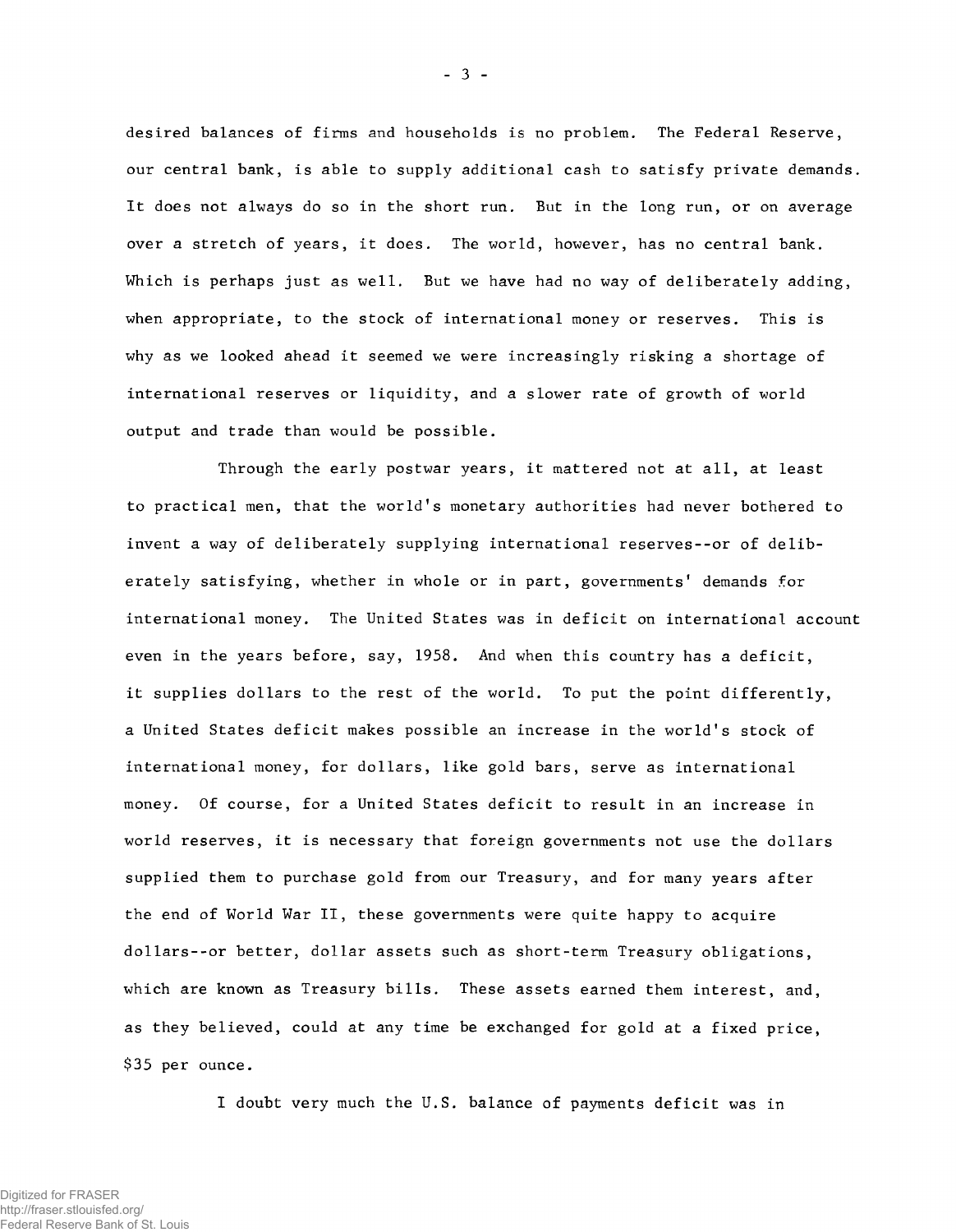desired balances of firms and households is no problem. The Federal Reserve, our central bank, is able to supply additional cash to satisfy private demands. It does not always do so in the short run. But in the long run, or on average over a stretch of years, it does. The world, however, has no central bank. Which is perhaps just as well. But we have had no way of deliberately adding, when appropriate, to the stock of international money or reserves. This is why as we looked ahead it seemed we were increasingly risking a shortage of international reserves or liquidity, and a slower rate of growth of world output and trade than would be possible.

Through the early postwar years, it mattered not at all, at least to practical men, that the world's monetary authorities had never bothered to invent a way of deliberately supplying international reserves--or of deliberately satisfying, whether in whole or in part, governments' demands for international money. The United States was in deficit on international account even in the years before, say, 1958. And when this country has a deficit, it supplies dollars to the rest of the world. To put the point differently, a United States deficit makes possible an increase in the world's stock of international money, for dollars, like gold bars, serve as international money. Of course, for a United States deficit to result in an increase in world reserves, it is necessary that foreign governments not use the dollars supplied them to purchase gold from our Treasury, and for many years after the end of World War II, these governments were quite happy to acquire dollars--or better, dollar assets such as short-term Treasury obligations, which are known as Treasury bills. These assets earned them interest, and, as they believed, could at any time be exchanged for gold at a fixed price, \$35 per ounce.

I doubt very much the U.S. balance of payments deficit was in

- 3 -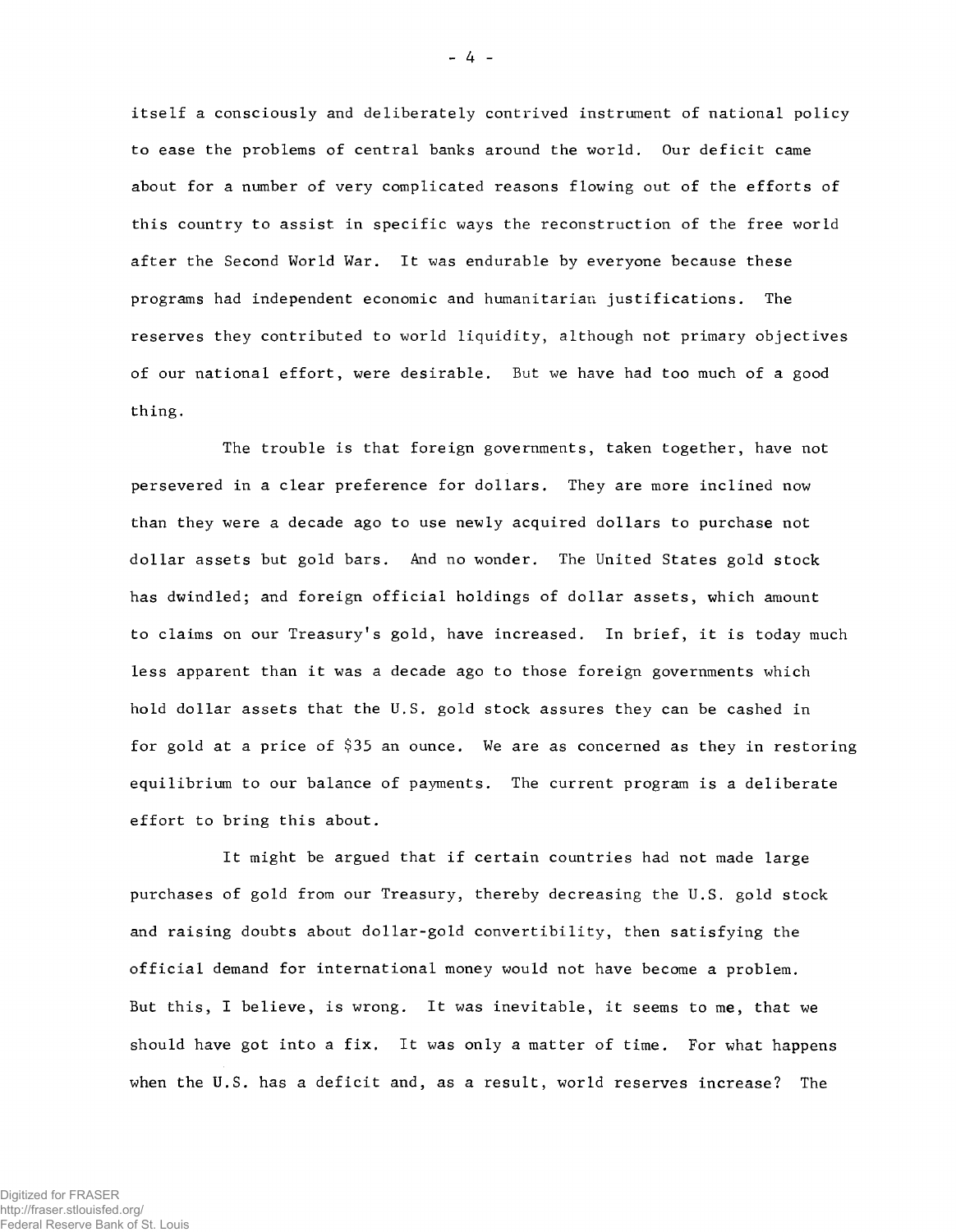itself a consciously and deliberately contrived instrument of national policy to ease the problems of central banks around the world. Our deficit came about for a number of very complicated reasons flowing out of the efforts of this country to assist in specific ways the reconstruction of the free world after the Second World War. It was endurable by everyone because these programs had independent economic and humanitarian justifications. The reserves they contributed to world liquidity, although not primary objectives of our national effort, were desirable. But we have had too much of a good thing.

The trouble is that foreign governments, taken together, have not persevered in a clear preference for dollars. They are more inclined now than they were a decade ago to use newly acquired dollars to purchase not dollar assets but gold bars. And no wonder. The United States gold stock has dwindled; and foreign official holdings of dollar assets, which amount to claims on our Treasury's gold, have increased. In brief, it is today much less apparent than it was a decade ago to those foreign governments which hold dollar assets that the U.S. gold stock assures they can be cashed in for gold at a price of \$35 an ounce. We are as concerned as they in restoring equilibrium to our balance of payments. The current program is a deliberate effort to bring this about.

It might be argued that if certain countries had not made large purchases of gold from our Treasury, thereby decreasing the U.S. gold stock and raising doubts about dollar-gold convertibility, then satisfying the official demand for international money would not have become a problem. But this, I believe, is wrong. It was inevitable, it seems to me, that we should have got into a fix. It was only a matter of time. For what happens when the U.S. has a deficit and, as a result, world reserves increase? The

- 4 -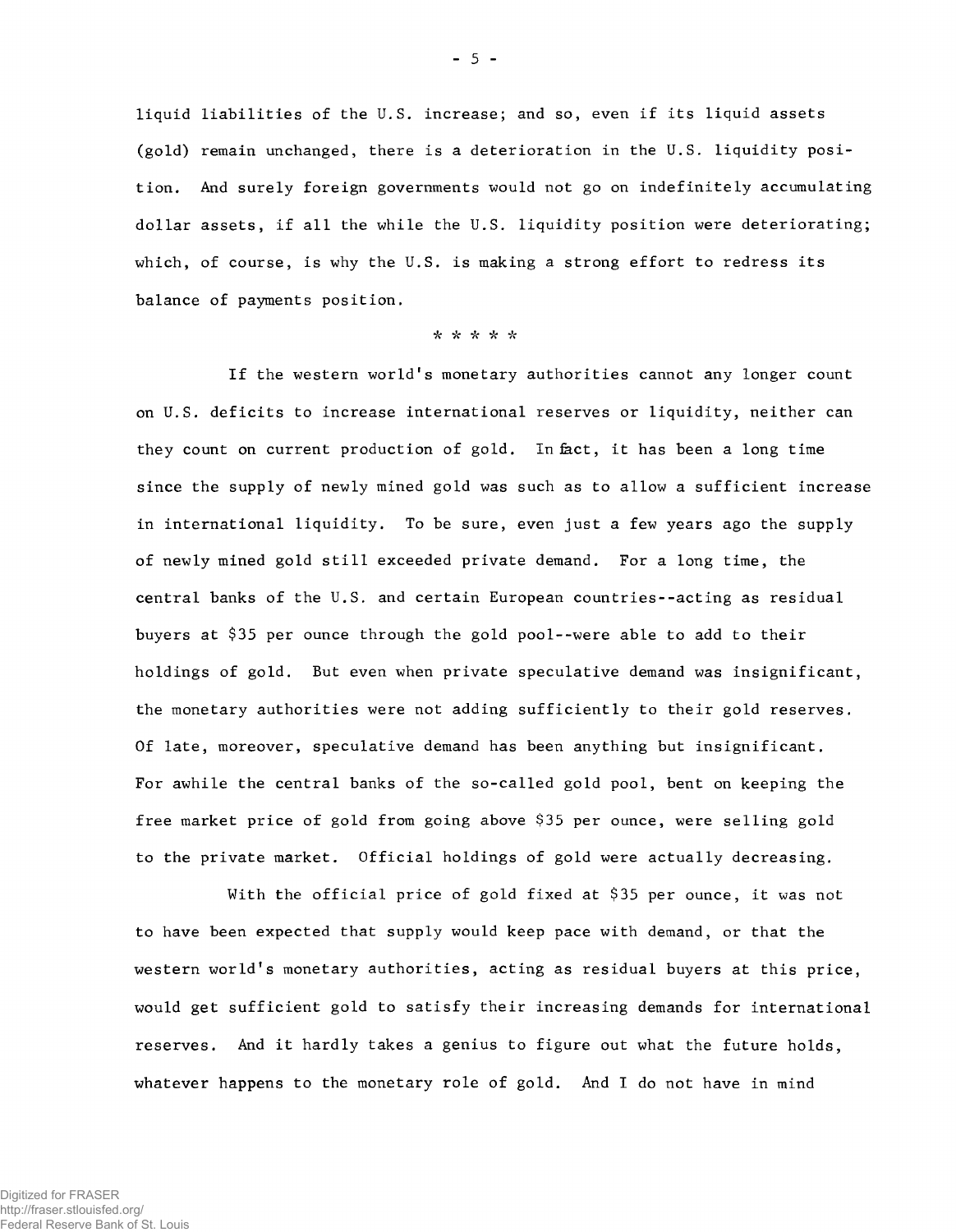liquid liabilities of the U.S. increase; and so, even if its liquid assets (gold) remain unchanged, there is a deterioration in the U.S. liquidity position. And surely foreign governments would not go on indefinitely accumulating dollar assets, if all the while the U.S. liquidity position were deteriorating; which, of course, is why the U.S. is making a strong effort to redress its balance of payments position.

### *•k* **/V** *"k k i t*

If the western world's monetary authorities cannot any longer count on U.S. deficits to increase international reserves or liquidity, neither can they count on current production of gold. In fact, it has been a long time since the supply of newly mined gold was such as to allow a sufficient increase in international liquidity. To be sure, even just a few years ago the supply of newly mined gold still exceeded private demand. For a long time, the central banks of the U.S. and certain European countries--acting as residual buyers at \$35 per ounce through the gold pool--were able to add to their holdings of gold. But even when private speculative demand was insignificant, the monetary authorities were not adding sufficiently to their gold reserves. Of late, moreover, speculative demand has been anything but insignificant. For awhile the central banks of the so-called gold pool, bent on keeping the free market price of gold from going above \$35 per ounce, were selling gold to the private market. Official holdings of gold were actually decreasing.

With the official price of gold fixed at \$35 per ounce, it was not to have been expected that supply would keep pace with demand, or that the western world's monetary authorities, acting as residual buyers at this price, would get sufficient gold to satisfy their increasing demands for international reserves. And it hardly takes a genius to figure out what the future holds, whatever happens to the monetary role of gold. And I do not have in mind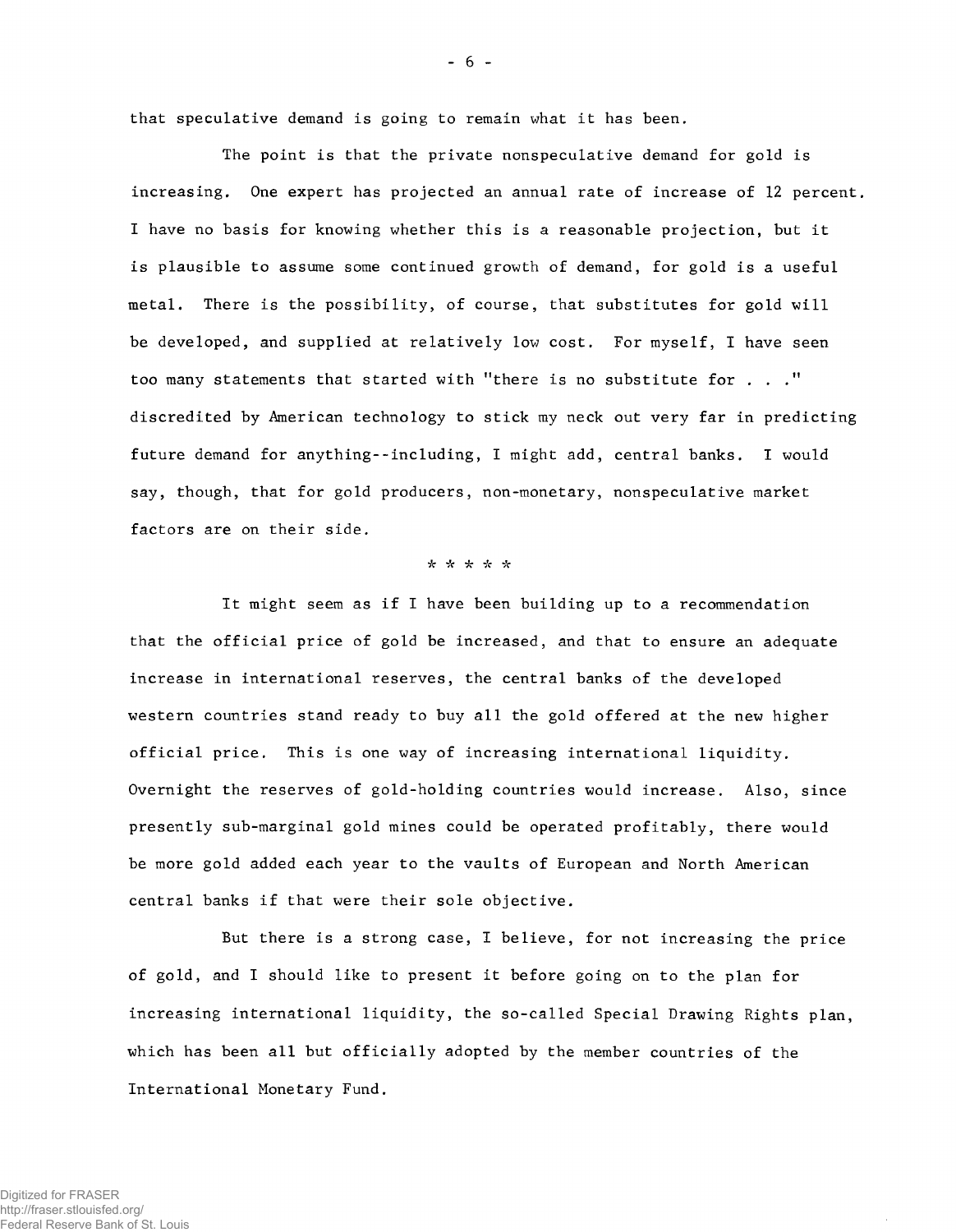that speculative demand is going to remain what it has been.

The point is that the private nonspeculative demand for gold is increasing. One expert has projected an annual rate of increase of 12 percent. I have no basis for knowing whether this is a reasonable projection, but it is plausible to assume some continued growth of demand, for gold is a useful metal. There is the possibility, of course, that substitutes for gold will be developed, and supplied at relatively low cost. For myself, I have seen too many statements that started with "there is no substitute for . . ." discredited by American technology to stick my neck out very far in predicting future demand for anything--including, I might add, central banks. I would say, though, that for gold producers, non-monetary, nonspeculative market factors are on their side.

# ■/V /V *ic* \* \*>V

It might seem as if I have been building up to a recommendation that the official price of gold be increased, and that to ensure an adequate increase in international reserves, the central banks of the developed western countries stand ready to buy all the gold offered at the new higher official price. This is one way of increasing international liquidity. Overnight the reserves of gold-holding countries would increase. Also, since presently sub-marginal gold mines could be operated profitably, there would be more gold added each year to the vaults of European and North American central banks if that were their sole objective.

But there is a strong case, I believe, for not increasing the price of gold, and I should like to present it before going on to the plan for increasing international liquidity, the so-called Special Drawing Rights plan, which has been all but officially adopted by the member countries of the International Monetary Fund.

- 6 -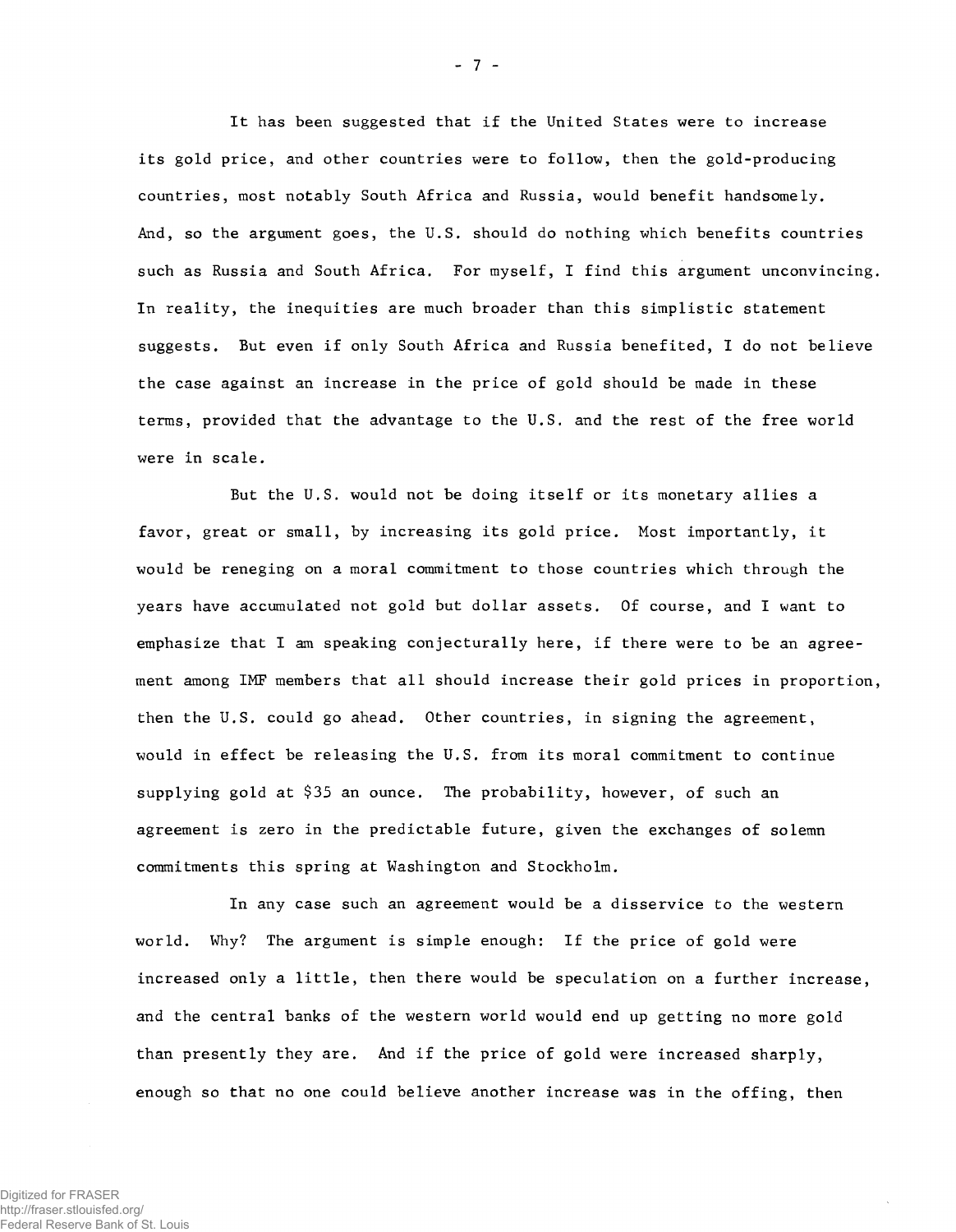It has been suggested that if the United States were to increase its gold price, and other countries were to follow, then the gold-producing countries, most notably South Africa and Russia, would benefit handsomely. And, so the argument goes, the U.S. should do nothing which benefits countries such as Russia and South Africa. For myself, I find this argument unconvincing. In reality, the inequities are much broader than this simplistic statement suggests. But even if only South Africa and Russia benefited, I do not believe the case against an increase in the price of gold should be made in these terms, provided that the advantage to the U.S. and the rest of the free world were in scale.

But the U.S. would not be doing itself or its monetary allies a favor, great or small, by increasing its gold price. Most importantly, it would be reneging on a moral commitment to those countries which through the years have accumulated not gold but dollar assets. Of course, and I want to emphasize that I am speaking conjecturally here, if there were to be an agreement among IMF members that all should increase their gold prices in proportion, then the U.S. could go ahead. Other countries, in signing the agreement, would in effect be releasing the U.S. from its moral commitment to continue supplying gold at \$35 an ounce. The probability, however, of such an agreement is zero in the predictable future, given the exchanges of solemn commitments this spring at Washington and Stockholm.

In any case such an agreement would be a disservice to the western world. Why? The argument is simple enough: If the price of gold were increased only a little, then there would be speculation on a further increase, and the central banks of the western world would end up getting no more gold than presently they are. And if the price of gold were increased sharply, enough so that no one could believe another increase was in the offing, then

- 7 -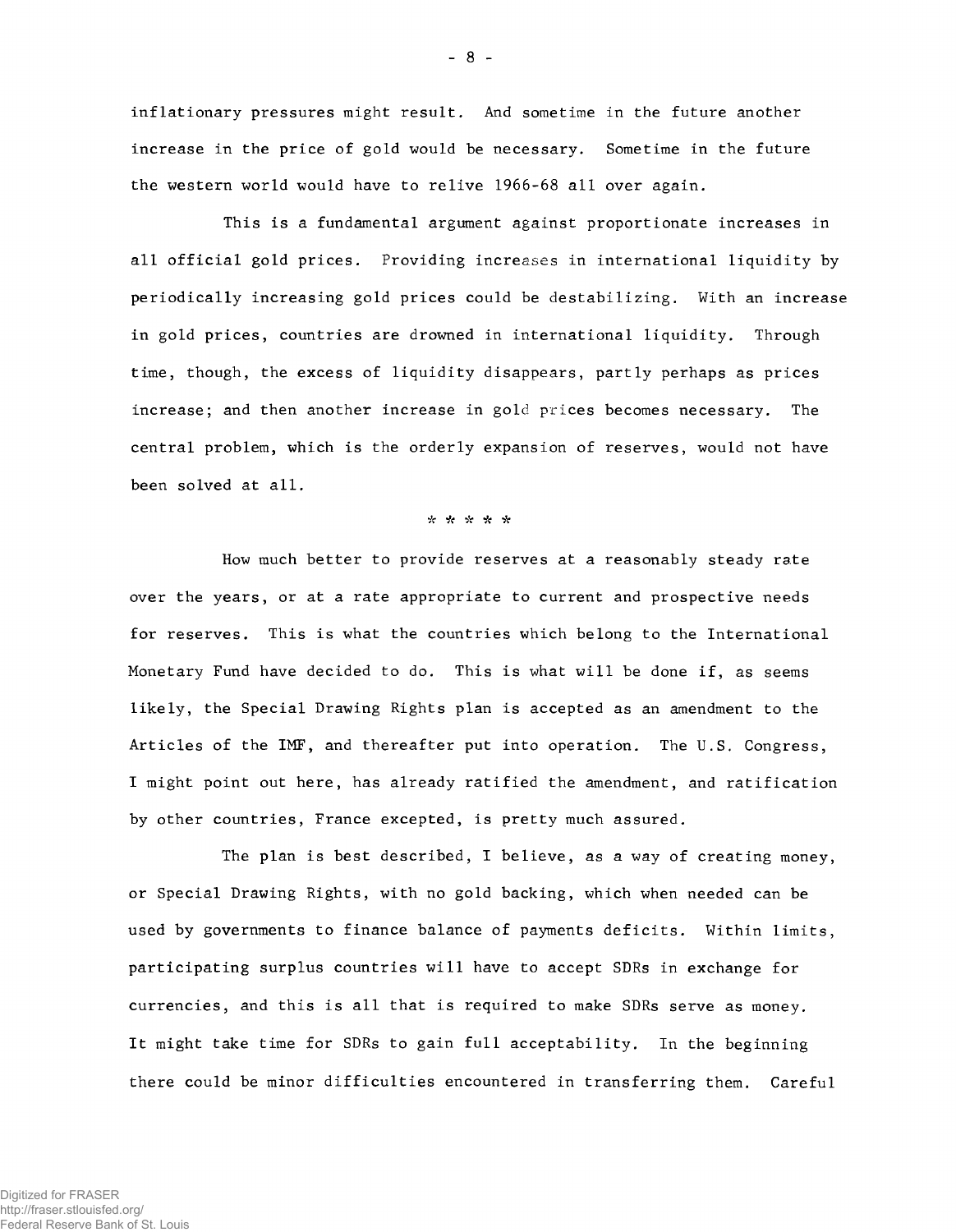in flationary pressures might result. And sometime in the future another increase in the price of gold would be necessary. Sometime in the future the western world would have to relive 1966-68 all over again.

This is a fundamental argument against proportionate increases in all official gold prices. Providing increases in international liquidity by periodically increasing gold prices could be destabilizing. With an increase in gold prices, countries are drowned in international liquidity. Through time, though, the excess of liquidity disappears, partly perhaps as prices increase; and then another increase in gold prices becomes necessary. The central problem, which is the orderly expansion of reserves, would not have been solved at all.

#### Vc *ic* \* *ic "k*

How much better to provide reserves at a reasonably steady rate over the years, or at a rate appropriate to current and prospective needs for reserves. This is what the countries which belong to the International Monetary Fund have decided to do. This is what will be done if, as seems likely, the Special Drawing Rights plan is accepted as an amendment to the Articles of the IMF, and thereafter put into operation. The U.S. Congress, I might point out here, has already ratified the amendment, and ratification by other countries, France excepted, is pretty much assured.

The plan is best described, I believe, as a way of creating money, or Special Drawing Rights, with no gold backing, which when needed can be used by governments to finance balance of payments deficits. Within limits, participating surplus countries will have to accept SDRs in exchange for currencies, and this is all that is required to make SDRs serve as money. It might take time for SDRs to gain full acceptability. In the beginning there could be minor difficulties encountered in transferring them. Careful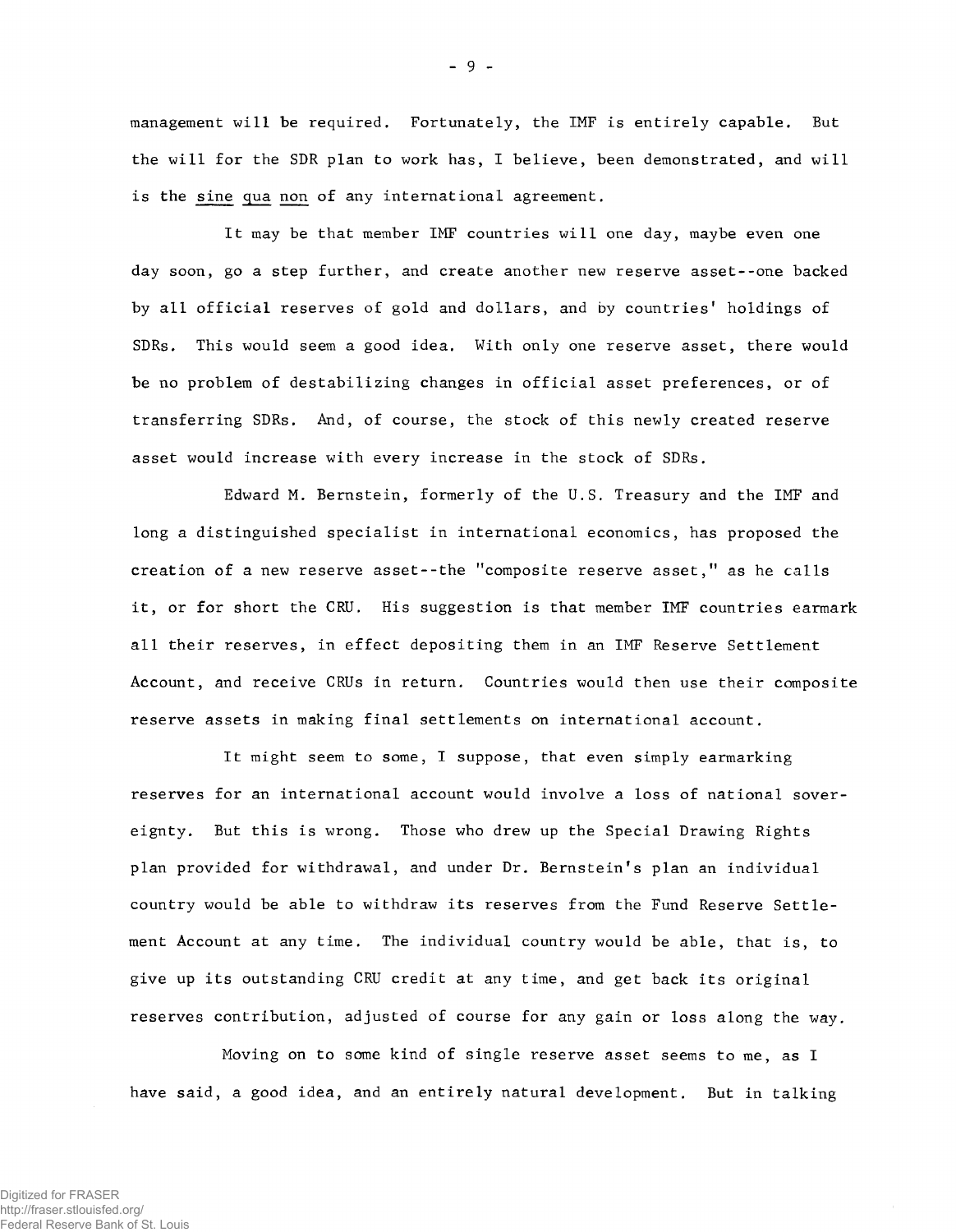management will be required. Fortunately, the IMF is entirely capable. But the will for the SDR plan to work has, I believe, been demonstrated, and will is the sine qua non of any international agreement.

It may be that member IMF countries will one day, maybe even one day soon, go a step further, and create another new reserve asset--one backed by all official reserves of gold and dollars, and by countries' holdings of SDRs. This would seem a good idea. With only one reserve asset, there would be no problem of destabilizing changes in official asset preferences, or of transferring SDRs. And, of course, the stock of this newly created reserve asset would increase with every increase in the stock of SDRs.

Edward M. Bernstein, formerly of the U.S. Treasury and the IMF and long a distinguished specialist in international economics, has proposed the creation of a new reserve asset--the "composite reserve asset," as he calls it, or for short the CRU. His suggestion is that member IMF countries earmark all their reserves, in effect depositing them in an IMF Reserve Settlement Account, and receive CRUs in return. Countries would then use their composite reserve assets in making final settlements on international account.

It might seem to some, I suppose, that even simply earmarking reserves for an international account would involve a loss of national sovereignty. But this is wrong. Those who drew up the Special Drawing Rights plan provided for withdrawal, and under Dr. Bernstein's plan an individual country would be able to withdraw its reserves from the Fund Reserve Settlement Account at any time. The individual country would be able, that is, to give up its outstanding CRU credit at any time, and get back its original reserves contribution, adjusted of course for any gain or loss along the way.

Moving on to some kind of single reserve asset seems to me, as I have said, a good idea, and an entirely natural development. But in talking

- 9 -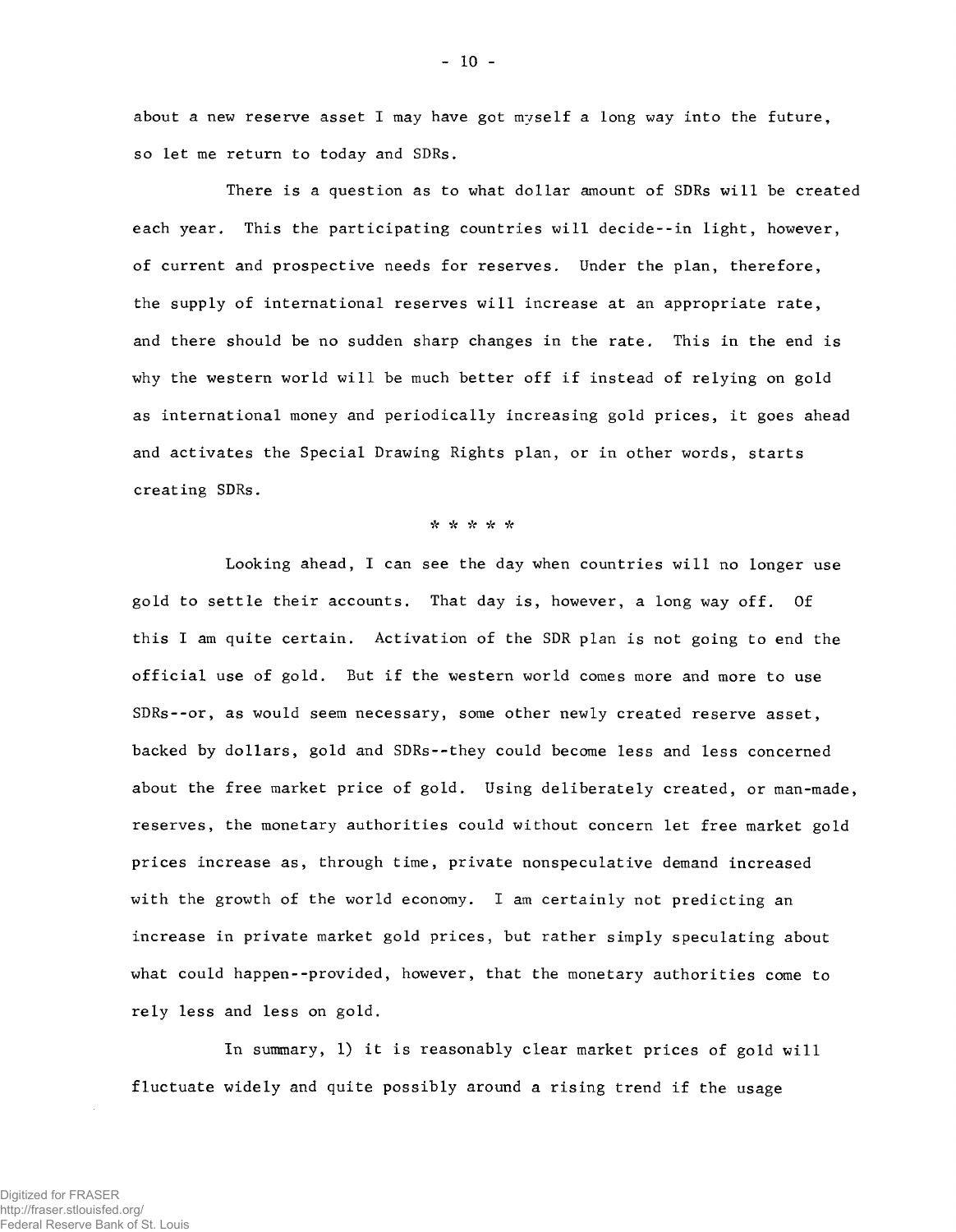about a new reserve asset I may have got myself a long way into the future, so let me return to today and SDRs.

There is a question as to what dollar amount of SDRs will be created each year. This the participating countries will decide--in light, however, of current and prospective needs for reserves. Under the plan, therefore, the supply of international reserves will increase at an appropriate rate, and there should be no sudden sharp changes in the rate. This in the end is why the western world will be much better off if instead of relying on gold as international money and periodically increasing gold prices, it goes ahead and activates the Special Drawing Rights plan, or in other words, starts creating SDRs.

## \* \* \* \* \*

Looking ahead, I can see the day when countries will no longer use gold to settle their accounts. That day is, however, a long way off. Of this I am quite certain. Activation of the SDR plan is not going to end the official use of gold. But if the western world comes more and more to use SDRs--or, as would seem necessary, some other newly created reserve asset, backed by dollars, gold and SDRs--they could become less and less concerned about the free market price of gold. Using deliberately created, or man-made, reserves, the monetary authorities could without concern let free market gold prices increase as, through time, private nonspeculative demand increased with the growth of the world economy. I am certainly not predicting an increase in private market gold prices, but rather simply speculating about what could happen--provided, however, that the monetary authorities come to rely less and less on gold.

In summary, 1) it is reasonably clear market prices of gold will fluctuate widely and quite possibly around a rising trend if the usage